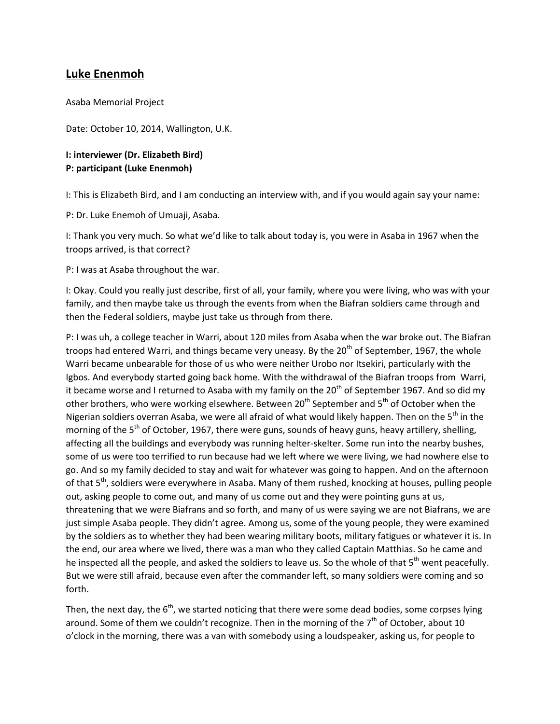# **Luke Enenmoh**

Asaba Memorial Project

Date: October 10, 2014, Wallington, U.K.

## **I: interviewer (Dr. Elizabeth Bird) P: participant (Luke Enenmoh)**

I: This is Elizabeth Bird, and I am conducting an interview with, and if you would again say your name:

P: Dr. Luke Enemoh of Umuaji, Asaba.

I: Thank you very much. So what we'd like to talk about today is, you were in Asaba in 1967 when the troops arrived, is that correct?

P: I was at Asaba throughout the war.

I: Okay. Could you really just describe, first of all, your family, where you were living, who was with your family, and then maybe take us through the events from when the Biafran soldiers came through and then the Federal soldiers, maybe just take us through from there.

P: I was uh, a college teacher in Warri, about 120 miles from Asaba when the war broke out. The Biafran troops had entered Warri, and things became very uneasy. By the  $20<sup>th</sup>$  of September, 1967, the whole Warri became unbearable for those of us who were neither Urobo nor Itsekiri, particularly with the Igbos. And everybody started going back home. With the withdrawal of the Biafran troops from Warri, it became worse and I returned to Asaba with my family on the 20<sup>th</sup> of September 1967. And so did my other brothers, who were working elsewhere. Between 20<sup>th</sup> September and 5<sup>th</sup> of October when the Nigerian soldiers overran Asaba, we were all afraid of what would likely happen. Then on the 5<sup>th</sup> in the morning of the  $5<sup>th</sup>$  of October, 1967, there were guns, sounds of heavy guns, heavy artillery, shelling, affecting all the buildings and everybody was running helter-skelter. Some run into the nearby bushes, some of us were too terrified to run because had we left where we were living, we had nowhere else to go. And so my family decided to stay and wait for whatever was going to happen. And on the afternoon of that 5<sup>th</sup>, soldiers were everywhere in Asaba. Many of them rushed, knocking at houses, pulling people out, asking people to come out, and many of us come out and they were pointing guns at us, threatening that we were Biafrans and so forth, and many of us were saying we are not Biafrans, we are just simple Asaba people. They didn't agree. Among us, some of the young people, they were examined by the soldiers as to whether they had been wearing military boots, military fatigues or whatever it is. In the end, our area where we lived, there was a man who they called Captain Matthias. So he came and he inspected all the people, and asked the soldiers to leave us. So the whole of that 5<sup>th</sup> went peacefully. But we were still afraid, because even after the commander left, so many soldiers were coming and so forth.

Then, the next day, the  $6<sup>th</sup>$ , we started noticing that there were some dead bodies, some corpses lying around. Some of them we couldn't recognize. Then in the morning of the  $7<sup>th</sup>$  of October, about 10 o'clock in the morning, there was a van with somebody using a loudspeaker, asking us, for people to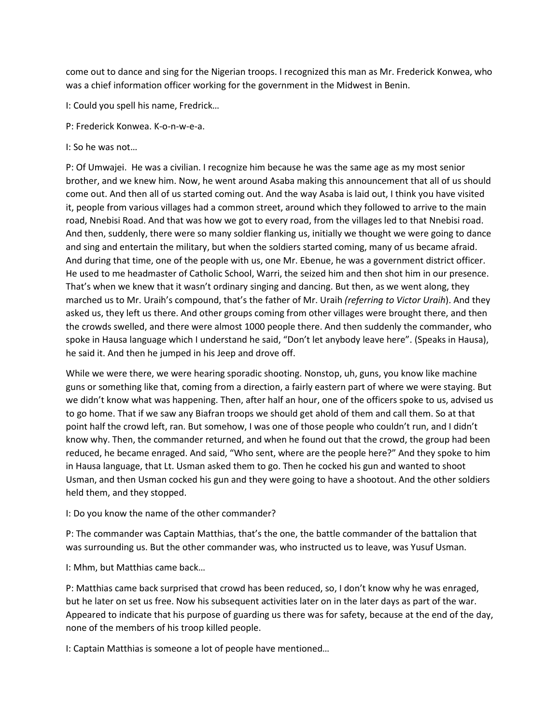come out to dance and sing for the Nigerian troops. I recognized this man as Mr. Frederick Konwea, who was a chief information officer working for the government in the Midwest in Benin.

I: Could you spell his name, Fredrick…

- P: Frederick Konwea. K-o-n-w-e-a.
- I: So he was not…

P: Of Umwajei. He was a civilian. I recognize him because he was the same age as my most senior brother, and we knew him. Now, he went around Asaba making this announcement that all of us should come out. And then all of us started coming out. And the way Asaba is laid out, I think you have visited it, people from various villages had a common street, around which they followed to arrive to the main road, Nnebisi Road. And that was how we got to every road, from the villages led to that Nnebisi road. And then, suddenly, there were so many soldier flanking us, initially we thought we were going to dance and sing and entertain the military, but when the soldiers started coming, many of us became afraid. And during that time, one of the people with us, one Mr. Ebenue, he was a government district officer. He used to me headmaster of Catholic School, Warri, the seized him and then shot him in our presence. That's when we knew that it wasn't ordinary singing and dancing. But then, as we went along, they marched us to Mr. Uraih's compound, that's the father of Mr. Uraih *(referring to Victor Uraih*). And they asked us, they left us there. And other groups coming from other villages were brought there, and then the crowds swelled, and there were almost 1000 people there. And then suddenly the commander, who spoke in Hausa language which I understand he said, "Don't let anybody leave here". (Speaks in Hausa), he said it. And then he jumped in his Jeep and drove off.

While we were there, we were hearing sporadic shooting. Nonstop, uh, guns, you know like machine guns or something like that, coming from a direction, a fairly eastern part of where we were staying. But we didn't know what was happening. Then, after half an hour, one of the officers spoke to us, advised us to go home. That if we saw any Biafran troops we should get ahold of them and call them. So at that point half the crowd left, ran. But somehow, I was one of those people who couldn't run, and I didn't know why. Then, the commander returned, and when he found out that the crowd, the group had been reduced, he became enraged. And said, "Who sent, where are the people here?" And they spoke to him in Hausa language, that Lt. Usman asked them to go. Then he cocked his gun and wanted to shoot Usman, and then Usman cocked his gun and they were going to have a shootout. And the other soldiers held them, and they stopped.

I: Do you know the name of the other commander?

P: The commander was Captain Matthias, that's the one, the battle commander of the battalion that was surrounding us. But the other commander was, who instructed us to leave, was Yusuf Usman.

I: Mhm, but Matthias came back…

P: Matthias came back surprised that crowd has been reduced, so, I don't know why he was enraged, but he later on set us free. Now his subsequent activities later on in the later days as part of the war. Appeared to indicate that his purpose of guarding us there was for safety, because at the end of the day, none of the members of his troop killed people.

I: Captain Matthias is someone a lot of people have mentioned…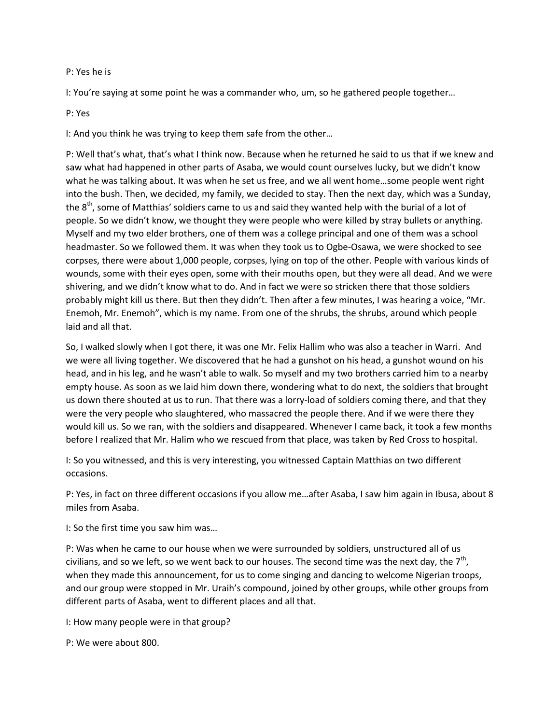#### P: Yes he is

I: You're saying at some point he was a commander who, um, so he gathered people together…

#### P: Yes

I: And you think he was trying to keep them safe from the other…

P: Well that's what, that's what I think now. Because when he returned he said to us that if we knew and saw what had happened in other parts of Asaba, we would count ourselves lucky, but we didn't know what he was talking about. It was when he set us free, and we all went home…some people went right into the bush. Then, we decided, my family, we decided to stay. Then the next day, which was a Sunday, the  $8<sup>th</sup>$ , some of Matthias' soldiers came to us and said they wanted help with the burial of a lot of people. So we didn't know, we thought they were people who were killed by stray bullets or anything. Myself and my two elder brothers, one of them was a college principal and one of them was a school headmaster. So we followed them. It was when they took us to Ogbe-Osawa, we were shocked to see corpses, there were about 1,000 people, corpses, lying on top of the other. People with various kinds of wounds, some with their eyes open, some with their mouths open, but they were all dead. And we were shivering, and we didn't know what to do. And in fact we were so stricken there that those soldiers probably might kill us there. But then they didn't. Then after a few minutes, I was hearing a voice, "Mr. Enemoh, Mr. Enemoh", which is my name. From one of the shrubs, the shrubs, around which people laid and all that.

So, I walked slowly when I got there, it was one Mr. Felix Hallim who was also a teacher in Warri. And we were all living together. We discovered that he had a gunshot on his head, a gunshot wound on his head, and in his leg, and he wasn't able to walk. So myself and my two brothers carried him to a nearby empty house. As soon as we laid him down there, wondering what to do next, the soldiers that brought us down there shouted at us to run. That there was a lorry-load of soldiers coming there, and that they were the very people who slaughtered, who massacred the people there. And if we were there they would kill us. So we ran, with the soldiers and disappeared. Whenever I came back, it took a few months before I realized that Mr. Halim who we rescued from that place, was taken by Red Cross to hospital.

I: So you witnessed, and this is very interesting, you witnessed Captain Matthias on two different occasions.

P: Yes, in fact on three different occasions if you allow me…after Asaba, I saw him again in Ibusa, about 8 miles from Asaba.

I: So the first time you saw him was…

P: Was when he came to our house when we were surrounded by soldiers, unstructured all of us civilians, and so we left, so we went back to our houses. The second time was the next day, the 7<sup>th</sup>, when they made this announcement, for us to come singing and dancing to welcome Nigerian troops, and our group were stopped in Mr. Uraih's compound, joined by other groups, while other groups from different parts of Asaba, went to different places and all that.

I: How many people were in that group?

P: We were about 800.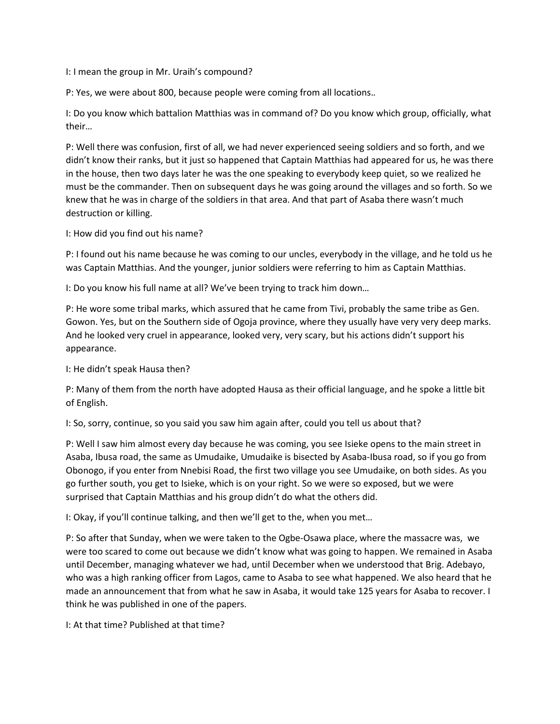I: I mean the group in Mr. Uraih's compound?

P: Yes, we were about 800, because people were coming from all locations.*.*

I: Do you know which battalion Matthias was in command of? Do you know which group, officially, what their…

P: Well there was confusion, first of all, we had never experienced seeing soldiers and so forth, and we didn't know their ranks, but it just so happened that Captain Matthias had appeared for us, he was there in the house, then two days later he was the one speaking to everybody keep quiet, so we realized he must be the commander. Then on subsequent days he was going around the villages and so forth. So we knew that he was in charge of the soldiers in that area. And that part of Asaba there wasn't much destruction or killing.

I: How did you find out his name?

P: I found out his name because he was coming to our uncles, everybody in the village, and he told us he was Captain Matthias. And the younger, junior soldiers were referring to him as Captain Matthias.

I: Do you know his full name at all? We've been trying to track him down…

P: He wore some tribal marks, which assured that he came from Tivi, probably the same tribe as Gen. Gowon. Yes, but on the Southern side of Ogoja province, where they usually have very very deep marks. And he looked very cruel in appearance, looked very, very scary, but his actions didn't support his appearance.

I: He didn't speak Hausa then?

P: Many of them from the north have adopted Hausa as their official language, and he spoke a little bit of English.

I: So, sorry, continue, so you said you saw him again after, could you tell us about that?

P: Well I saw him almost every day because he was coming, you see Isieke opens to the main street in Asaba, Ibusa road, the same as Umudaike, Umudaike is bisected by Asaba-Ibusa road, so if you go from Obonogo, if you enter from Nnebisi Road, the first two village you see Umudaike, on both sides. As you go further south, you get to Isieke, which is on your right. So we were so exposed, but we were surprised that Captain Matthias and his group didn't do what the others did.

I: Okay, if you'll continue talking, and then we'll get to the, when you met…

P: So after that Sunday, when we were taken to the Ogbe-Osawa place, where the massacre was, we were too scared to come out because we didn't know what was going to happen. We remained in Asaba until December, managing whatever we had, until December when we understood that Brig. Adebayo, who was a high ranking officer from Lagos, came to Asaba to see what happened. We also heard that he made an announcement that from what he saw in Asaba, it would take 125 years for Asaba to recover. I think he was published in one of the papers.

I: At that time? Published at that time?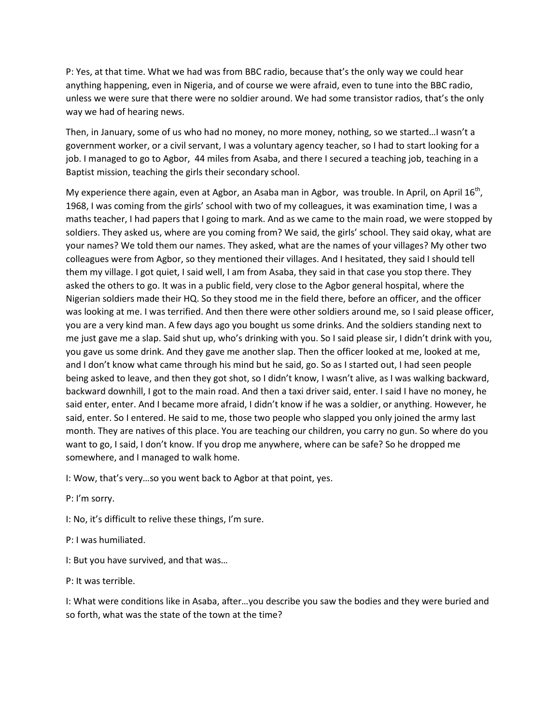P: Yes, at that time. What we had was from BBC radio, because that's the only way we could hear anything happening, even in Nigeria, and of course we were afraid, even to tune into the BBC radio, unless we were sure that there were no soldier around. We had some transistor radios, that's the only way we had of hearing news.

Then, in January, some of us who had no money, no more money, nothing, so we started…I wasn't a government worker, or a civil servant, I was a voluntary agency teacher, so I had to start looking for a job. I managed to go to Agbor, 44 miles from Asaba, and there I secured a teaching job, teaching in a Baptist mission, teaching the girls their secondary school.

My experience there again, even at Agbor, an Asaba man in Agbor, was trouble. In April, on April 16<sup>th</sup>, 1968, I was coming from the girls' school with two of my colleagues, it was examination time, I was a maths teacher, I had papers that I going to mark. And as we came to the main road, we were stopped by soldiers. They asked us, where are you coming from? We said, the girls' school. They said okay, what are your names? We told them our names. They asked, what are the names of your villages? My other two colleagues were from Agbor, so they mentioned their villages. And I hesitated, they said I should tell them my village. I got quiet, I said well, I am from Asaba, they said in that case you stop there. They asked the others to go. It was in a public field, very close to the Agbor general hospital, where the Nigerian soldiers made their HQ. So they stood me in the field there, before an officer, and the officer was looking at me. I was terrified. And then there were other soldiers around me, so I said please officer, you are a very kind man. A few days ago you bought us some drinks. And the soldiers standing next to me just gave me a slap. Said shut up, who's drinking with you. So I said please sir, I didn't drink with you, you gave us some drink. And they gave me another slap. Then the officer looked at me, looked at me, and I don't know what came through his mind but he said, go. So as I started out, I had seen people being asked to leave, and then they got shot, so I didn't know, I wasn't alive, as I was walking backward, backward downhill, I got to the main road. And then a taxi driver said, enter. I said I have no money, he said enter, enter. And I became more afraid, I didn't know if he was a soldier, or anything. However, he said, enter. So I entered. He said to me, those two people who slapped you only joined the army last month. They are natives of this place. You are teaching our children, you carry no gun. So where do you want to go, I said, I don't know. If you drop me anywhere, where can be safe? So he dropped me somewhere, and I managed to walk home.

I: Wow, that's very…so you went back to Agbor at that point, yes.

P: I'm sorry.

I: No, it's difficult to relive these things, I'm sure.

P: I was humiliated.

I: But you have survived, and that was…

P: It was terrible.

I: What were conditions like in Asaba, after…you describe you saw the bodies and they were buried and so forth, what was the state of the town at the time?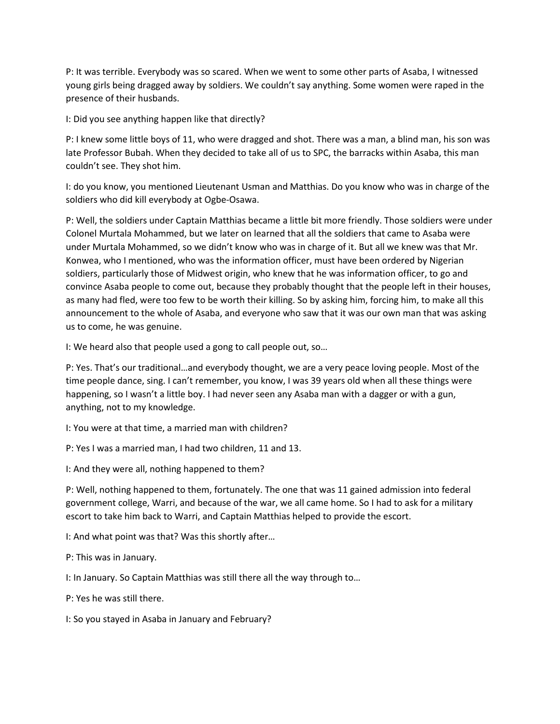P: It was terrible. Everybody was so scared. When we went to some other parts of Asaba, I witnessed young girls being dragged away by soldiers. We couldn't say anything. Some women were raped in the presence of their husbands.

I: Did you see anything happen like that directly?

P: I knew some little boys of 11, who were dragged and shot. There was a man, a blind man, his son was late Professor Bubah. When they decided to take all of us to SPC, the barracks within Asaba, this man couldn't see. They shot him.

I: do you know, you mentioned Lieutenant Usman and Matthias. Do you know who was in charge of the soldiers who did kill everybody at Ogbe-Osawa.

P: Well, the soldiers under Captain Matthias became a little bit more friendly. Those soldiers were under Colonel Murtala Mohammed, but we later on learned that all the soldiers that came to Asaba were under Murtala Mohammed, so we didn't know who was in charge of it. But all we knew was that Mr. Konwea, who I mentioned, who was the information officer, must have been ordered by Nigerian soldiers, particularly those of Midwest origin, who knew that he was information officer, to go and convince Asaba people to come out, because they probably thought that the people left in their houses, as many had fled, were too few to be worth their killing. So by asking him, forcing him, to make all this announcement to the whole of Asaba, and everyone who saw that it was our own man that was asking us to come, he was genuine.

I: We heard also that people used a gong to call people out, so…

P: Yes. That's our traditional…and everybody thought, we are a very peace loving people. Most of the time people dance, sing. I can't remember, you know, I was 39 years old when all these things were happening, so I wasn't a little boy. I had never seen any Asaba man with a dagger or with a gun, anything, not to my knowledge.

I: You were at that time, a married man with children?

P: Yes I was a married man, I had two children, 11 and 13.

I: And they were all, nothing happened to them?

P: Well, nothing happened to them, fortunately. The one that was 11 gained admission into federal government college, Warri, and because of the war, we all came home. So I had to ask for a military escort to take him back to Warri, and Captain Matthias helped to provide the escort.

I: And what point was that? Was this shortly after…

P: This was in January.

I: In January. So Captain Matthias was still there all the way through to…

P: Yes he was still there.

I: So you stayed in Asaba in January and February?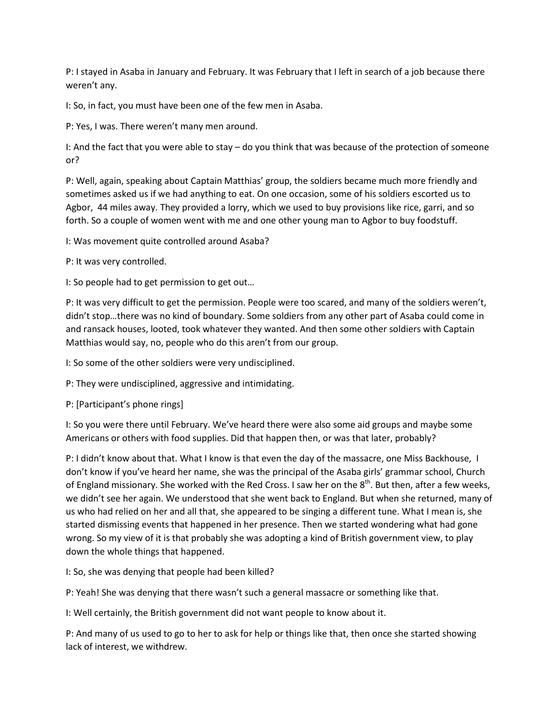P: I stayed in Asaba in January and February. It was February that I left in search of a job because there weren't any.

I: So, in fact, you must have been one of the few men in Asaba.

P: Yes, I was. There weren't many men around.

I: And the fact that you were able to stay – do you think that was because of the protection of someone or?

P: Well, again, speaking about Captain Matthias' group, the soldiers became much more friendly and sometimes asked us if we had anything to eat. On one occasion, some of his soldiers escorted us to Agbor, 44 miles away. They provided a lorry, which we used to buy provisions like rice, garri, and so forth. So a couple of women went with me and one other young man to Agbor to buy foodstuff.

I: Was movement quite controlled around Asaba?

P: It was very controlled.

I: So people had to get permission to get out…

P: It was very difficult to get the permission. People were too scared, and many of the soldiers weren't, didn't stop…there was no kind of boundary. Some soldiers from any other part of Asaba could come in and ransack houses, looted, took whatever they wanted. And then some other soldiers with Captain Matthias would say, no, people who do this aren't from our group.

I: So some of the other soldiers were very undisciplined.

P: They were undisciplined, aggressive and intimidating.

P: [Participant's phone rings]

I: So you were there until February. We've heard there were also some aid groups and maybe some Americans or others with food supplies. Did that happen then, or was that later, probably?

P: I didn't know about that. What I know is that even the day of the massacre, one Miss Backhouse, I don't know if you've heard her name, she was the principal of the Asaba girls' grammar school, Church of England missionary. She worked with the Red Cross. I saw her on the 8<sup>th</sup>. But then, after a few weeks, we didn't see her again. We understood that she went back to England. But when she returned, many of us who had relied on her and all that, she appeared to be singing a different tune. What I mean is, she started dismissing events that happened in her presence. Then we started wondering what had gone wrong. So my view of it is that probably she was adopting a kind of British government view, to play down the whole things that happened.

I: So, she was denying that people had been killed?

P: Yeah! She was denying that there wasn't such a general massacre or something like that.

I: Well certainly, the British government did not want people to know about it.

P: And many of us used to go to her to ask for help or things like that, then once she started showing lack of interest, we withdrew.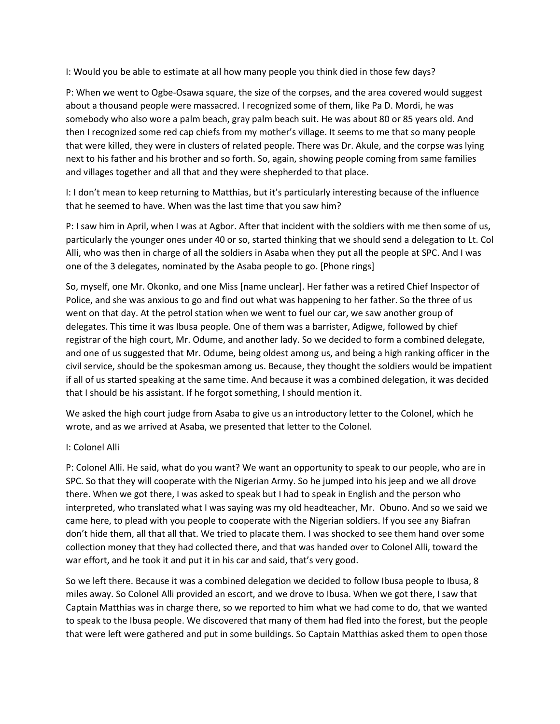I: Would you be able to estimate at all how many people you think died in those few days?

P: When we went to Ogbe-Osawa square, the size of the corpses, and the area covered would suggest about a thousand people were massacred. I recognized some of them, like Pa D. Mordi, he was somebody who also wore a palm beach, gray palm beach suit. He was about 80 or 85 years old. And then I recognized some red cap chiefs from my mother's village. It seems to me that so many people that were killed, they were in clusters of related people. There was Dr. Akule, and the corpse was lying next to his father and his brother and so forth. So, again, showing people coming from same families and villages together and all that and they were shepherded to that place.

I: I don't mean to keep returning to Matthias, but it's particularly interesting because of the influence that he seemed to have. When was the last time that you saw him?

P: I saw him in April, when I was at Agbor. After that incident with the soldiers with me then some of us, particularly the younger ones under 40 or so, started thinking that we should send a delegation to Lt. Col Alli, who was then in charge of all the soldiers in Asaba when they put all the people at SPC. And I was one of the 3 delegates, nominated by the Asaba people to go. [Phone rings]

So, myself, one Mr. Okonko, and one Miss [name unclear]. Her father was a retired Chief Inspector of Police, and she was anxious to go and find out what was happening to her father. So the three of us went on that day. At the petrol station when we went to fuel our car, we saw another group of delegates. This time it was Ibusa people. One of them was a barrister, Adigwe, followed by chief registrar of the high court, Mr. Odume, and another lady. So we decided to form a combined delegate, and one of us suggested that Mr. Odume, being oldest among us, and being a high ranking officer in the civil service, should be the spokesman among us. Because, they thought the soldiers would be impatient if all of us started speaking at the same time. And because it was a combined delegation, it was decided that I should be his assistant. If he forgot something, I should mention it.

We asked the high court judge from Asaba to give us an introductory letter to the Colonel, which he wrote, and as we arrived at Asaba, we presented that letter to the Colonel.

### I: Colonel Alli

P: Colonel Alli. He said, what do you want? We want an opportunity to speak to our people, who are in SPC. So that they will cooperate with the Nigerian Army. So he jumped into his jeep and we all drove there. When we got there, I was asked to speak but I had to speak in English and the person who interpreted, who translated what I was saying was my old headteacher, Mr. Obuno. And so we said we came here, to plead with you people to cooperate with the Nigerian soldiers. If you see any Biafran don't hide them, all that all that. We tried to placate them. I was shocked to see them hand over some collection money that they had collected there, and that was handed over to Colonel Alli, toward the war effort, and he took it and put it in his car and said, that's very good.

So we left there. Because it was a combined delegation we decided to follow Ibusa people to Ibusa, 8 miles away. So Colonel Alli provided an escort, and we drove to Ibusa. When we got there, I saw that Captain Matthias was in charge there, so we reported to him what we had come to do, that we wanted to speak to the Ibusa people. We discovered that many of them had fled into the forest, but the people that were left were gathered and put in some buildings. So Captain Matthias asked them to open those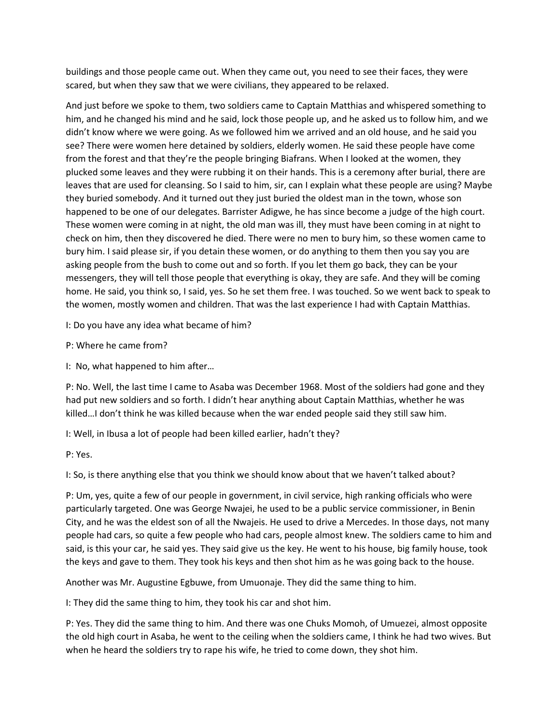buildings and those people came out. When they came out, you need to see their faces, they were scared, but when they saw that we were civilians, they appeared to be relaxed.

And just before we spoke to them, two soldiers came to Captain Matthias and whispered something to him, and he changed his mind and he said, lock those people up, and he asked us to follow him, and we didn't know where we were going. As we followed him we arrived and an old house, and he said you see? There were women here detained by soldiers, elderly women. He said these people have come from the forest and that they're the people bringing Biafrans. When I looked at the women, they plucked some leaves and they were rubbing it on their hands. This is a ceremony after burial, there are leaves that are used for cleansing. So I said to him, sir, can I explain what these people are using? Maybe they buried somebody. And it turned out they just buried the oldest man in the town, whose son happened to be one of our delegates. Barrister Adigwe, he has since become a judge of the high court. These women were coming in at night, the old man was ill, they must have been coming in at night to check on him, then they discovered he died. There were no men to bury him, so these women came to bury him. I said please sir, if you detain these women, or do anything to them then you say you are asking people from the bush to come out and so forth. If you let them go back, they can be your messengers, they will tell those people that everything is okay, they are safe. And they will be coming home. He said, you think so, I said, yes. So he set them free. I was touched. So we went back to speak to the women, mostly women and children. That was the last experience I had with Captain Matthias.

I: Do you have any idea what became of him?

P: Where he came from?

I: No, what happened to him after…

P: No. Well, the last time I came to Asaba was December 1968. Most of the soldiers had gone and they had put new soldiers and so forth. I didn't hear anything about Captain Matthias, whether he was killed…I don't think he was killed because when the war ended people said they still saw him.

I: Well, in Ibusa a lot of people had been killed earlier, hadn't they?

P: Yes.

I: So, is there anything else that you think we should know about that we haven't talked about?

P: Um, yes, quite a few of our people in government, in civil service, high ranking officials who were particularly targeted. One was George Nwajei, he used to be a public service commissioner, in Benin City, and he was the eldest son of all the Nwajeis. He used to drive a Mercedes. In those days, not many people had cars, so quite a few people who had cars, people almost knew. The soldiers came to him and said, is this your car, he said yes. They said give us the key. He went to his house, big family house, took the keys and gave to them. They took his keys and then shot him as he was going back to the house.

Another was Mr. Augustine Egbuwe, from Umuonaje. They did the same thing to him.

I: They did the same thing to him, they took his car and shot him.

P: Yes. They did the same thing to him. And there was one Chuks Momoh, of Umuezei, almost opposite the old high court in Asaba, he went to the ceiling when the soldiers came, I think he had two wives. But when he heard the soldiers try to rape his wife, he tried to come down, they shot him.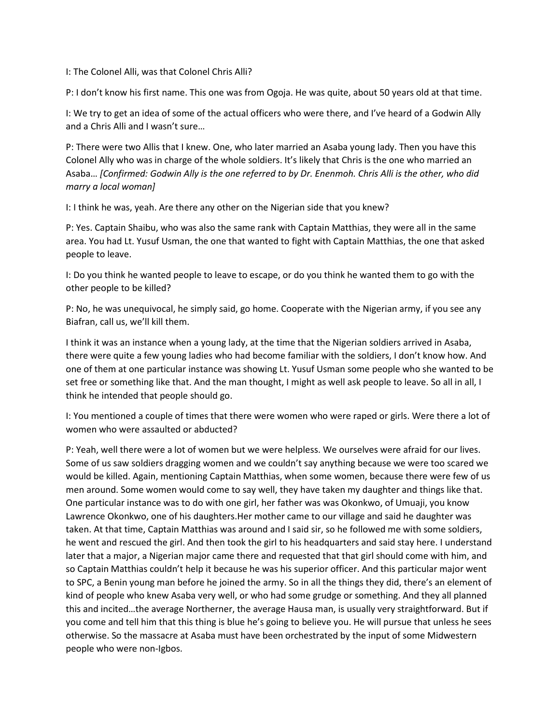I: The Colonel Alli, was that Colonel Chris Alli?

P: I don't know his first name. This one was from Ogoja. He was quite, about 50 years old at that time.

I: We try to get an idea of some of the actual officers who were there, and I've heard of a Godwin Ally and a Chris Alli and I wasn't sure…

P: There were two Allis that I knew. One, who later married an Asaba young lady. Then you have this Colonel Ally who was in charge of the whole soldiers. It's likely that Chris is the one who married an Asaba… *[Confirmed: Godwin Ally is the one referred to by Dr. Enenmoh. Chris Alli is the other, who did marry a local woman]*

I: I think he was, yeah. Are there any other on the Nigerian side that you knew?

P: Yes. Captain Shaibu, who was also the same rank with Captain Matthias, they were all in the same area. You had Lt. Yusuf Usman, the one that wanted to fight with Captain Matthias, the one that asked people to leave.

I: Do you think he wanted people to leave to escape, or do you think he wanted them to go with the other people to be killed?

P: No, he was unequivocal, he simply said, go home. Cooperate with the Nigerian army, if you see any Biafran, call us, we'll kill them.

I think it was an instance when a young lady, at the time that the Nigerian soldiers arrived in Asaba, there were quite a few young ladies who had become familiar with the soldiers, I don't know how. And one of them at one particular instance was showing Lt. Yusuf Usman some people who she wanted to be set free or something like that. And the man thought, I might as well ask people to leave. So all in all, I think he intended that people should go.

I: You mentioned a couple of times that there were women who were raped or girls. Were there a lot of women who were assaulted or abducted?

P: Yeah, well there were a lot of women but we were helpless. We ourselves were afraid for our lives. Some of us saw soldiers dragging women and we couldn't say anything because we were too scared we would be killed. Again, mentioning Captain Matthias, when some women, because there were few of us men around. Some women would come to say well, they have taken my daughter and things like that. One particular instance was to do with one girl, her father was was Okonkwo, of Umuaji, you know Lawrence Okonkwo, one of his daughters.Her mother came to our village and said he daughter was taken. At that time, Captain Matthias was around and I said sir, so he followed me with some soldiers, he went and rescued the girl. And then took the girl to his headquarters and said stay here. I understand later that a major, a Nigerian major came there and requested that that girl should come with him, and so Captain Matthias couldn't help it because he was his superior officer. And this particular major went to SPC, a Benin young man before he joined the army. So in all the things they did, there's an element of kind of people who knew Asaba very well, or who had some grudge or something. And they all planned this and incited…the average Northerner, the average Hausa man, is usually very straightforward. But if you come and tell him that this thing is blue he's going to believe you. He will pursue that unless he sees otherwise. So the massacre at Asaba must have been orchestrated by the input of some Midwestern people who were non-Igbos.